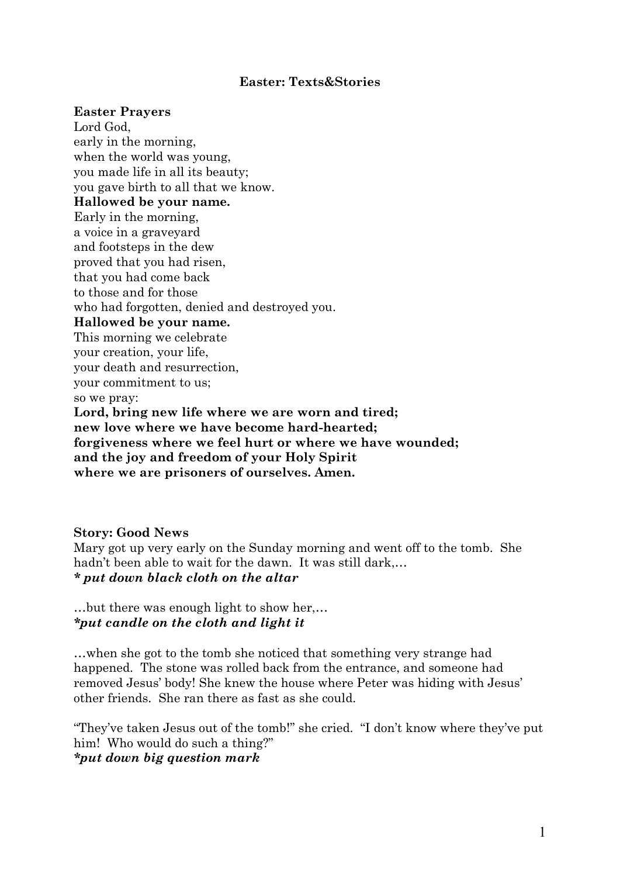### **Easter: Texts&Stories**

#### **Easter Prayers**

Lord God, early in the morning, when the world was young, you made life in all its beauty; you gave birth to all that we know. **Hallowed be your name.** Early in the morning, a voice in a graveyard and footsteps in the dew proved that you had risen, that you had come back to those and for those who had forgotten, denied and destroyed you. **Hallowed be your name.** This morning we celebrate your creation, your life, your death and resurrection, your commitment to us; so we pray: **Lord, bring new life where we are worn and tired; new love where we have become hard-hearted; forgiveness where we feel hurt or where we have wounded; and the joy and freedom of your Holy Spirit where we are prisoners of ourselves. Amen.**

#### **Story: Good News**

Mary got up very early on the Sunday morning and went off to the tomb. She hadn't been able to wait for the dawn. It was still dark,… *\* put down black cloth on the altar*

…but there was enough light to show her,… *\*put candle on the cloth and light it*

…when she got to the tomb she noticed that something very strange had happened. The stone was rolled back from the entrance, and someone had removed Jesus' body! She knew the house where Peter was hiding with Jesus' other friends. She ran there as fast as she could.

"They've taken Jesus out of the tomb!" she cried. "I don't know where they've put him! Who would do such a thing?" *\*put down big question mark*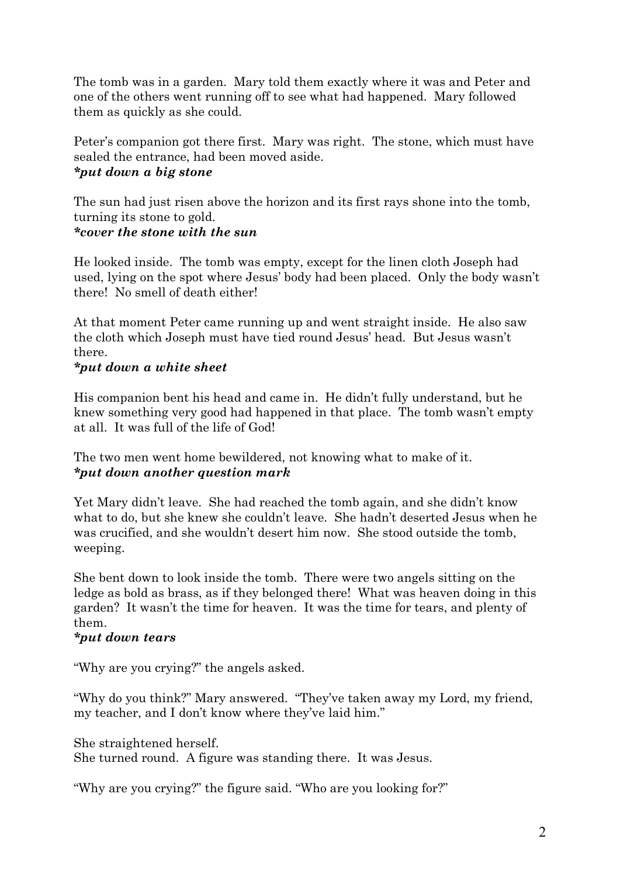The tomb was in a garden. Mary told them exactly where it was and Peter and one of the others went running off to see what had happened. Mary followed them as quickly as she could.

Peter's companion got there first. Mary was right. The stone, which must have sealed the entrance, had been moved aside.

# *\*put down a big stone*

The sun had just risen above the horizon and its first rays shone into the tomb, turning its stone to gold. *\*cover the stone with the sun*

He looked inside. The tomb was empty, except for the linen cloth Joseph had used, lying on the spot where Jesus' body had been placed. Only the body wasn't there! No smell of death either!

At that moment Peter came running up and went straight inside. He also saw the cloth which Joseph must have tied round Jesus' head. But Jesus wasn't there.

# *\*put down a white sheet*

His companion bent his head and came in. He didn't fully understand, but he knew something very good had happened in that place. The tomb wasn't empty at all. It was full of the life of God!

The two men went home bewildered, not knowing what to make of it. *\*put down another question mark*

Yet Mary didn't leave. She had reached the tomb again, and she didn't know what to do, but she knew she couldn't leave. She hadn't deserted Jesus when he was crucified, and she wouldn't desert him now. She stood outside the tomb, weeping.

She bent down to look inside the tomb. There were two angels sitting on the ledge as bold as brass, as if they belonged there! What was heaven doing in this garden? It wasn't the time for heaven. It was the time for tears, and plenty of them.

## *\*put down tears*

"Why are you crying?" the angels asked.

"Why do you think?" Mary answered. "They've taken away my Lord, my friend, my teacher, and I don't know where they've laid him."

She straightened herself. She turned round. A figure was standing there. It was Jesus.

"Why are you crying?" the figure said. "Who are you looking for?"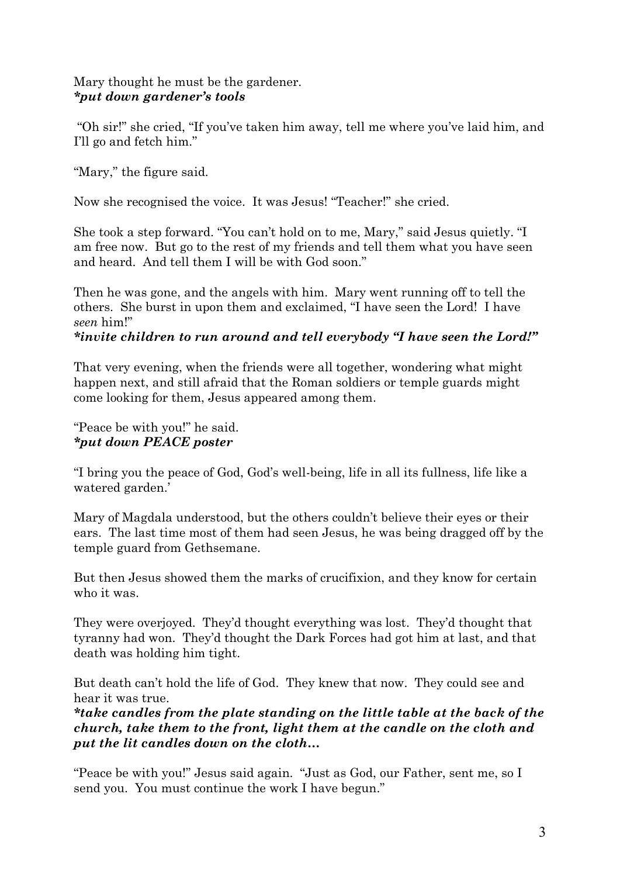## Mary thought he must be the gardener. *\*put down gardener's tools*

"Oh sir!" she cried, "If you've taken him away, tell me where you've laid him, and I'll go and fetch him."

"Mary," the figure said.

Now she recognised the voice. It was Jesus! "Teacher!" she cried.

She took a step forward. "You can't hold on to me, Mary," said Jesus quietly. "I am free now. But go to the rest of my friends and tell them what you have seen and heard. And tell them I will be with God soon."

Then he was gone, and the angels with him. Mary went running off to tell the others. She burst in upon them and exclaimed, "I have seen the Lord! I have *seen* him!"

## *\*invite children to run around and tell everybody "I have seen the Lord!"*

That very evening, when the friends were all together, wondering what might happen next, and still afraid that the Roman soldiers or temple guards might come looking for them, Jesus appeared among them.

"Peace be with you!" he said. *\*put down PEACE poster*

"I bring you the peace of God, God's well-being, life in all its fullness, life like a watered garden.'

Mary of Magdala understood, but the others couldn't believe their eyes or their ears. The last time most of them had seen Jesus, he was being dragged off by the temple guard from Gethsemane.

But then Jesus showed them the marks of crucifixion, and they know for certain who it was.

They were overjoyed. They'd thought everything was lost. They'd thought that tyranny had won. They'd thought the Dark Forces had got him at last, and that death was holding him tight.

But death can't hold the life of God. They knew that now. They could see and hear it was true.

*\*take candles from the plate standing on the little table at the back of the church, take them to the front, light them at the candle on the cloth and put the lit candles down on the cloth…*

"Peace be with you!" Jesus said again. "Just as God, our Father, sent me, so I send you. You must continue the work I have begun."